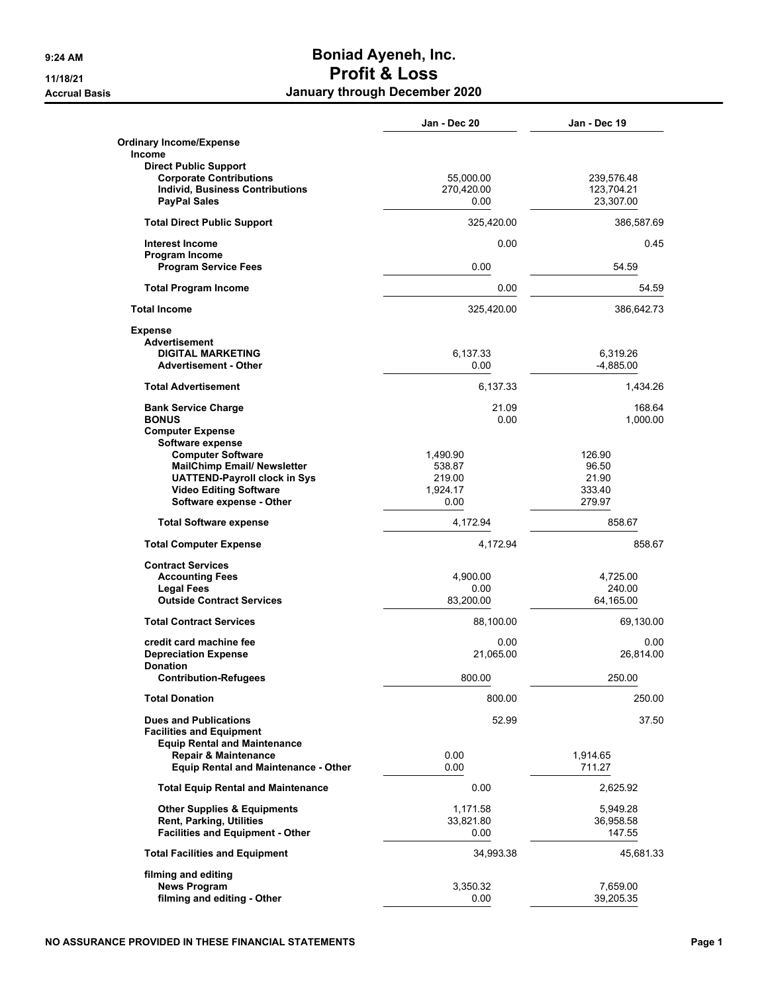## **9:24 AM Boniad Ayeneh, Inc. 11/18/21 Profit & Loss Accrual Basis January through December 2020**

|                                                                          | Jan - Dec 20            | Jan - Dec 19             |
|--------------------------------------------------------------------------|-------------------------|--------------------------|
| <b>Ordinary Income/Expense</b><br><b>Income</b>                          |                         |                          |
| <b>Direct Public Support</b>                                             |                         |                          |
| <b>Corporate Contributions</b><br><b>Individ, Business Contributions</b> | 55,000.00<br>270,420.00 | 239,576.48<br>123,704.21 |
| <b>PayPal Sales</b>                                                      | 0.00                    | 23,307.00                |
|                                                                          |                         |                          |
| <b>Total Direct Public Support</b>                                       | 325,420.00              | 386,587.69               |
| <b>Interest Income</b>                                                   | 0.00                    | 0.45                     |
| Program Income<br><b>Program Service Fees</b>                            | 0.00                    | 54.59                    |
| <b>Total Program Income</b>                                              | 0.00                    | 54.59                    |
| <b>Total Income</b>                                                      | 325,420.00              | 386,642.73               |
| <b>Expense</b>                                                           |                         |                          |
| <b>Advertisement</b>                                                     |                         |                          |
| <b>DIGITAL MARKETING</b>                                                 | 6,137.33                | 6,319.26                 |
| <b>Advertisement - Other</b>                                             | 0.00                    | $-4,885.00$              |
| <b>Total Advertisement</b>                                               | 6,137.33                | 1,434.26                 |
| <b>Bank Service Charge</b>                                               | 21.09                   | 168.64                   |
| <b>BONUS</b>                                                             | 0.00                    | 1,000.00                 |
| <b>Computer Expense</b>                                                  |                         |                          |
| Software expense                                                         |                         |                          |
| <b>Computer Software</b>                                                 | 1,490.90                | 126.90                   |
| <b>MailChimp Email/ Newsletter</b>                                       | 538.87                  | 96.50                    |
| <b>UATTEND-Payroll clock in Sys</b>                                      | 219.00                  | 21.90                    |
| <b>Video Editing Software</b>                                            | 1,924.17                | 333.40                   |
| Software expense - Other                                                 | 0.00                    | 279.97                   |
| <b>Total Software expense</b>                                            | 4,172.94                | 858.67                   |
| <b>Total Computer Expense</b>                                            | 4,172.94                | 858.67                   |
| <b>Contract Services</b>                                                 |                         |                          |
| <b>Accounting Fees</b>                                                   | 4,900.00                | 4,725.00                 |
| <b>Legal Fees</b>                                                        | 0.00                    | 240.00                   |
| <b>Outside Contract Services</b>                                         | 83,200.00               | 64,165.00                |
| <b>Total Contract Services</b>                                           | 88,100.00               | 69,130.00                |
| credit card machine fee                                                  | 0.00                    | 0.00                     |
| <b>Depreciation Expense</b>                                              | 21,065.00               | 26,814.00                |
| <b>Donation</b>                                                          |                         |                          |
| <b>Contribution-Refugees</b>                                             | 800.00                  | 250.00                   |
| <b>Total Donation</b>                                                    | 800.00                  | 250.00                   |
| <b>Dues and Publications</b>                                             | 52.99                   | 37.50                    |
| <b>Facilities and Equipment</b>                                          |                         |                          |
| <b>Equip Rental and Maintenance</b>                                      |                         |                          |
| <b>Repair &amp; Maintenance</b>                                          | 0.00                    | 1,914.65                 |
| <b>Equip Rental and Maintenance - Other</b>                              | 0.00                    | 711.27                   |
| <b>Total Equip Rental and Maintenance</b>                                | 0.00                    | 2,625.92                 |
| <b>Other Supplies &amp; Equipments</b>                                   | 1,171.58                | 5,949.28                 |
| <b>Rent, Parking, Utilities</b>                                          | 33,821.80               | 36,958.58                |
| <b>Facilities and Equipment - Other</b>                                  | 0.00                    | 147.55                   |
| <b>Total Facilities and Equipment</b>                                    | 34,993.38               | 45,681.33                |
| filming and editing                                                      |                         |                          |
| <b>News Program</b>                                                      | 3,350.32                | 7,659.00                 |
| filming and editing - Other                                              | 0.00                    | 39,205.35                |
|                                                                          |                         |                          |